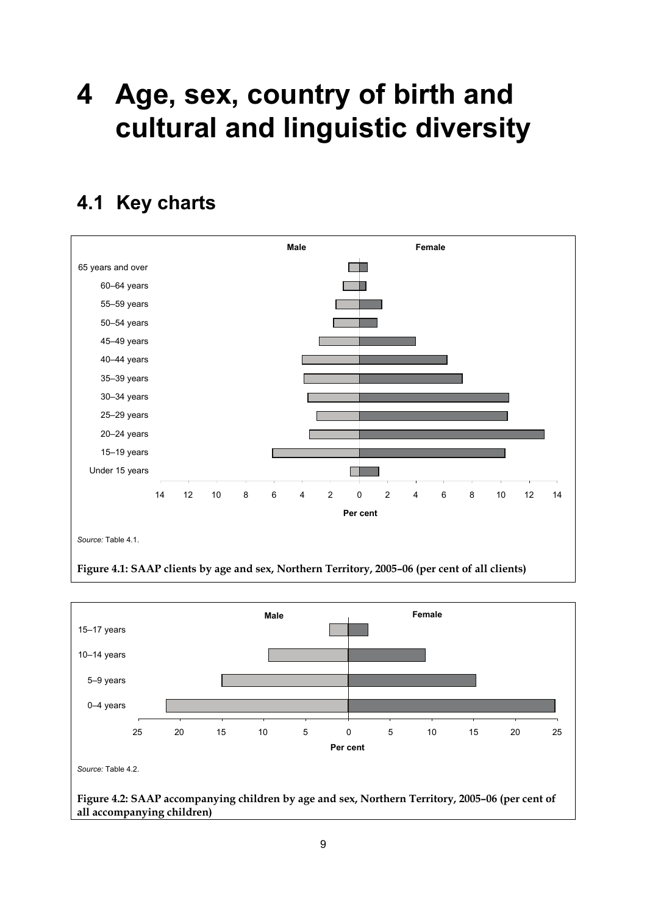# **4 Age, sex, country of birth and cultural and linguistic diversity**

**4.1 Key charts** 



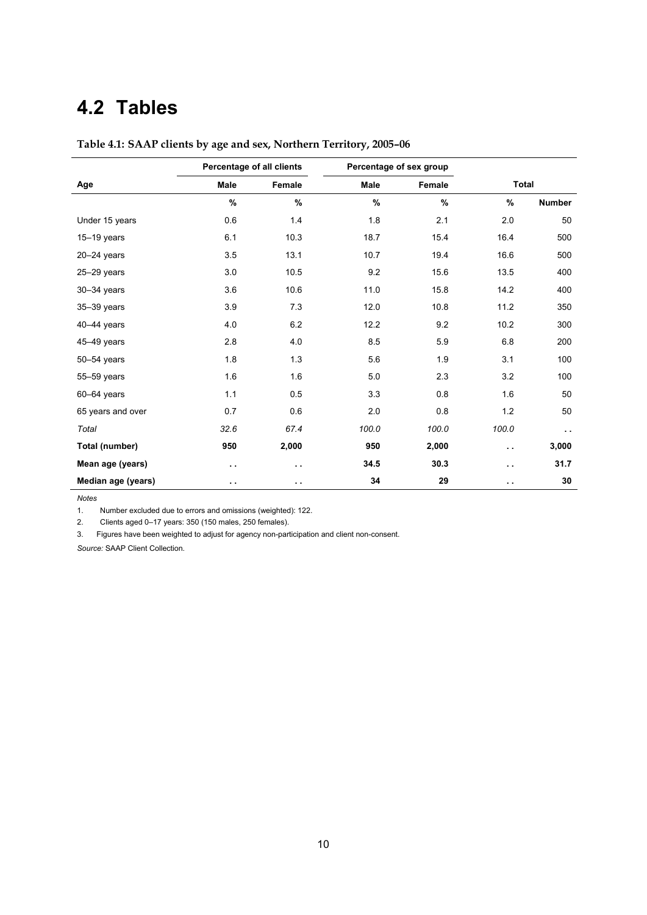## **4.2 Tables**

|                    | Percentage of all clients |                      |               | Percentage of sex group |              |               |
|--------------------|---------------------------|----------------------|---------------|-------------------------|--------------|---------------|
| Age                | <b>Male</b><br>Female     |                      | Male          | Female                  | <b>Total</b> |               |
|                    | $\frac{9}{6}$             | $\%$                 | $\frac{9}{6}$ | $\frac{9}{6}$           | %            | <b>Number</b> |
| Under 15 years     | 0.6                       | 1.4                  | 1.8           | 2.1                     | 2.0          | 50            |
| $15-19$ years      | 6.1                       | 10.3                 | 18.7          | 15.4                    | 16.4         | 500           |
| $20 - 24$ years    | 3.5                       | 13.1                 | 10.7          | 19.4                    | 16.6         | 500           |
| $25 - 29$ years    | 3.0                       | 10.5                 | 9.2           | 15.6                    | 13.5         | 400           |
| 30-34 years        | 3.6                       | 10.6                 | 11.0          | 15.8                    | 14.2         | 400           |
| $35 - 39$ years    | 3.9                       | 7.3                  | 12.0          | 10.8                    | 11.2         | 350           |
| 40-44 years        | 4.0                       | 6.2                  | 12.2          | 9.2                     | 10.2         | 300           |
| 45-49 years        | 2.8                       | 4.0                  | 8.5           | 5.9                     | 6.8          | 200           |
| $50 - 54$ years    | 1.8                       | 1.3                  | 5.6           | 1.9                     | 3.1          | 100           |
| 55-59 years        | 1.6                       | 1.6                  | 5.0           | 2.3                     | 3.2          | 100           |
| $60 - 64$ years    | 1.1                       | 0.5                  | 3.3           | 0.8                     | 1.6          | 50            |
| 65 years and over  | 0.7                       | 0.6                  | 2.0           | 0.8                     | 1.2          | 50            |
| Total              | 32.6                      | 67.4                 | 100.0         | 100.0                   | 100.0        | $\sim$        |
| Total (number)     | 950                       | 2,000                | 950           | 2,000                   | $\sim$       | 3,000         |
| Mean age (years)   | $\sim$ $\sim$             | $\ddot{\phantom{1}}$ | 34.5          | 30.3                    | $\sim$       | 31.7          |
| Median age (years) | $\sim$ $\sim$             | $\sim$               | 34            | 29                      | $\sim$       | 30            |

**Table 4.1: SAAP clients by age and sex, Northern Territory, 2005–06** 

*Notes* 

1. Number excluded due to errors and omissions (weighted): 122.

2. Clients aged 0–17 years: 350 (150 males, 250 females).

3. Figures have been weighted to adjust for agency non-participation and client non-consent.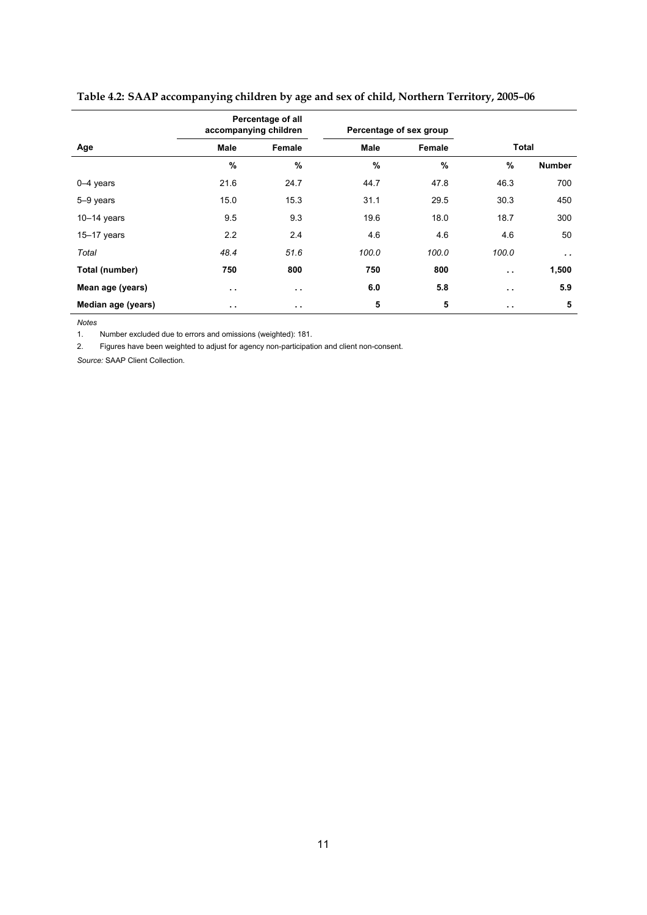|                    | Percentage of all<br>accompanying children |               | Percentage of sex group |        |               |               |
|--------------------|--------------------------------------------|---------------|-------------------------|--------|---------------|---------------|
| Age                | <b>Male</b>                                | Female        | Male                    | Female | Total         |               |
|                    | %                                          | $\%$          | %                       | $\%$   | %             | <b>Number</b> |
| $0-4$ years        | 21.6                                       | 24.7          | 44.7                    | 47.8   | 46.3          | 700           |
| 5-9 years          | 15.0                                       | 15.3          | 31.1                    | 29.5   | 30.3          | 450           |
| $10-14$ years      | 9.5                                        | 9.3           | 19.6                    | 18.0   | 18.7          | 300           |
| $15-17$ years      | 2.2                                        | 2.4           | 4.6                     | 4.6    | 4.6           | 50            |
| Total              | 48.4                                       | 51.6          | 100.0                   | 100.0  | 100.0         | $\sim$ $\sim$ |
| Total (number)     | 750                                        | 800           | 750                     | 800    | $\sim$ $\sim$ | 1,500         |
| Mean age (years)   | $\sim$ $\sim$                              | $\sim$ $\sim$ | 6.0                     | 5.8    | $\sim$ $\sim$ | 5.9           |
| Median age (years) | $\sim$ $\sim$                              | $\sim$ $\sim$ | 5                       | 5      | $\sim$ $\sim$ | 5             |

### **Table 4.2: SAAP accompanying children by age and sex of child, Northern Territory, 2005–06**

*Notes* 

1. Number excluded due to errors and omissions (weighted): 181.

2. Figures have been weighted to adjust for agency non-participation and client non-consent.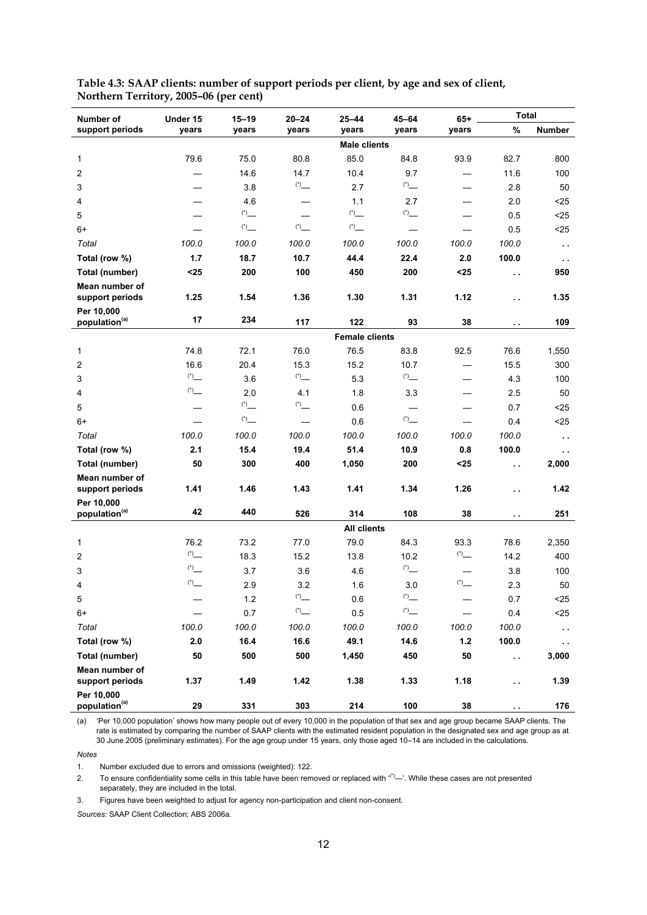| Number of                               | Under 15            | $15 - 19$                                       | $20 - 24$                                      | 25-44                 | 45-64                    | $65+$ | <b>Total</b>           |               |
|-----------------------------------------|---------------------|-------------------------------------------------|------------------------------------------------|-----------------------|--------------------------|-------|------------------------|---------------|
| support periods                         | years               | years                                           | years                                          | years                 | years                    | years | $\%$                   | <b>Number</b> |
|                                         | <b>Male clients</b> |                                                 |                                                |                       |                          |       |                        |               |
| 1                                       | 79.6                | 75.0                                            | 80.8                                           | 85.0                  | 84.8                     | 93.9  | 82.7                   | 800           |
| 2                                       |                     | 14.6                                            | 14.7                                           | 10.4                  | 9.7                      |       | 11.6                   | 100           |
| 3                                       |                     | 3.8                                             | $\overset{(*)}-$                               | 2.7                   |                          |       | 2.8                    | 50            |
| 4                                       |                     | 4.6                                             |                                                | 1.1                   | 2.7                      |       | 2.0                    | $25$          |
| 5                                       |                     |                                                 |                                                | $\binom{4}{1}$        |                          |       | 0.5                    | $25$          |
| 6+                                      |                     |                                                 | $(*)$                                          | $\binom{4}{1}$        | $\overline{\phantom{0}}$ |       | 0.5                    | $25$          |
| Total                                   | 100.0               | 100.0                                           | 100.0                                          | 100.0                 | 100.0                    | 100.0 | 100.0                  | $\sim$        |
| Total (row %)                           | 1.7                 | 18.7                                            | 10.7                                           | 44.4                  | 22.4                     | 2.0   | 100.0                  | $\sim$        |
| Total (number)                          | $25$                | 200                                             | 100                                            | 450                   | 200                      | $25$  | $\epsilon$ .           | 950           |
| Mean number of                          |                     |                                                 |                                                |                       |                          |       |                        |               |
| support periods                         | 1.25                | 1.54                                            | 1.36                                           | 1.30                  | 1.31                     | 1.12  | $\epsilon$ .           | 1.35          |
| Per 10,000<br>population <sup>(a)</sup> | 17                  | 234                                             | 117                                            | 122                   | 93                       | 38    | $\ddot{\phantom{a}}$   | 109           |
|                                         |                     |                                                 |                                                | <b>Female clients</b> |                          |       |                        |               |
| 1                                       | 74.8                | 72.1                                            | 76.0                                           | 76.5                  | 83.8                     | 92.5  | 76.6                   | 1,550         |
| $\overline{2}$                          | 16.6                | 20.4                                            | 15.3                                           | 15.2                  | 10.7                     |       | 15.5                   | 300           |
| 3                                       | $\binom{4}{1}$      | 3.6                                             | $\overset{(*)}{\_}$                            | 5.3                   | $\overset{(*)}{\_}$      |       | 4.3                    | 100           |
| 4                                       |                     | 2.0                                             | 4.1                                            | 1.8                   | 3.3                      |       | 2.5                    | 50            |
| 5                                       |                     | $\overset{(*)}-$                                |                                                | 0.6                   |                          |       | 0.7                    | $25$          |
| $6+$                                    |                     | $\left( ^{\ast }\right) _{\underline{\qquad }}$ |                                                | 0.6                   |                          |       | 0.4                    | $25$          |
| Total                                   | 100.0               | 100.0                                           | 100.0                                          | 100.0                 | 100.0                    | 100.0 | 100.0                  | $\sim$        |
| Total (row %)                           | 2.1                 | 15.4                                            | 19.4                                           | 51.4                  | 10.9                     | 0.8   | 100.0                  | $\sim$        |
| Total (number)                          | 50                  | 300                                             | 400                                            | 1,050                 | 200                      | <25   | $\ddot{\phantom{a}}$   | 2,000         |
| Mean number of                          |                     |                                                 |                                                |                       |                          |       |                        |               |
| support periods                         | 1.41                | 1.46                                            | 1.43                                           | 1.41                  | 1.34                     | 1.26  | $\ddot{\phantom{1}}$ . | 1.42          |
| Per 10,000                              |                     |                                                 |                                                |                       |                          |       |                        |               |
| population <sup>(a)</sup>               | 42                  | 440                                             | 526                                            | 314                   | 108                      | 38    | $\sim$                 | 251           |
|                                         |                     |                                                 |                                                | <b>All clients</b>    |                          |       |                        |               |
| 1                                       | 76.2                | 73.2                                            | 77.0                                           | 79.0                  | 84.3                     | 93.3  | 78.6                   | 2,350         |
| 2                                       | $\binom{4}{1}$      | 18.3                                            | 15.2                                           | 13.8                  | 10.2                     |       | 14.2                   | 400           |
| 3                                       | $\binom{4}{1}$      | 3.7                                             | 3.6                                            | 4.6                   |                          |       | 3.8                    | 100           |
| 4                                       | $(*)$               | 2.9                                             | 3.2                                            | 1.6                   | 3.0                      |       | 2.3                    | 50            |
| 5                                       |                     | $1.2$                                           | $\overset{\text{\tiny{(}}{\star}\text{)}}{--}$ | $0.6\,$               | $\overset{(*)}{\_}$      |       | 0.7                    | $25$          |
| $6+$                                    |                     | 0.7                                             | $\overset{(*)}{\_}$                            | 0.5                   | $\overset{(*)}{\_}$      |       | 0.4                    | $25$          |
| Total                                   | 100.0               | 100.0                                           | 100.0                                          | 100.0                 | 100.0                    | 100.0 | 100.0                  | $\sim$        |
| Total (row %)                           | 2.0                 | 16.4                                            | 16.6                                           | 49.1                  | 14.6                     | $1.2$ | 100.0                  | $\sim$        |
| Total (number)                          | 50                  | 500                                             | 500                                            | 1,450                 | 450                      | 50    | $\epsilon$ .           | 3,000         |
| Mean number of                          |                     |                                                 |                                                |                       |                          |       |                        |               |
| support periods                         | 1.37                | 1.49                                            | 1.42                                           | 1.38                  | 1.33                     | 1.18  | $\epsilon$ .           | 1.39          |
| Per 10,000<br>population <sup>(a)</sup> | 29                  | 331                                             | 303                                            | 214                   | 100                      | 38    | $\epsilon$ .           | 176           |

**Table 4.3: SAAP clients: number of support periods per client, by age and sex of client, Northern Territory, 2005–06 (per cent)** 

(a) 'Per 10,000 population' shows how many people out of every 10,000 in the population of that sex and age group became SAAP clients. The rate is estimated by comparing the number of SAAP clients with the estimated resident population in the designated sex and age group as at 30 June 2005 (preliminary estimates). For the age group under 15 years, only those aged 10–14 are included in the calculations.

*Notes* 

1. Number excluded due to errors and omissions (weighted): 122.

2. To ensure confidentiality some cells in this table have been removed or replaced with "> -. While these cases are not presented separately, they are included in the total.

3. Figures have been weighted to adjust for agency non-participation and client non-consent.

*Sources:* SAAP Client Collection; ABS 2006a.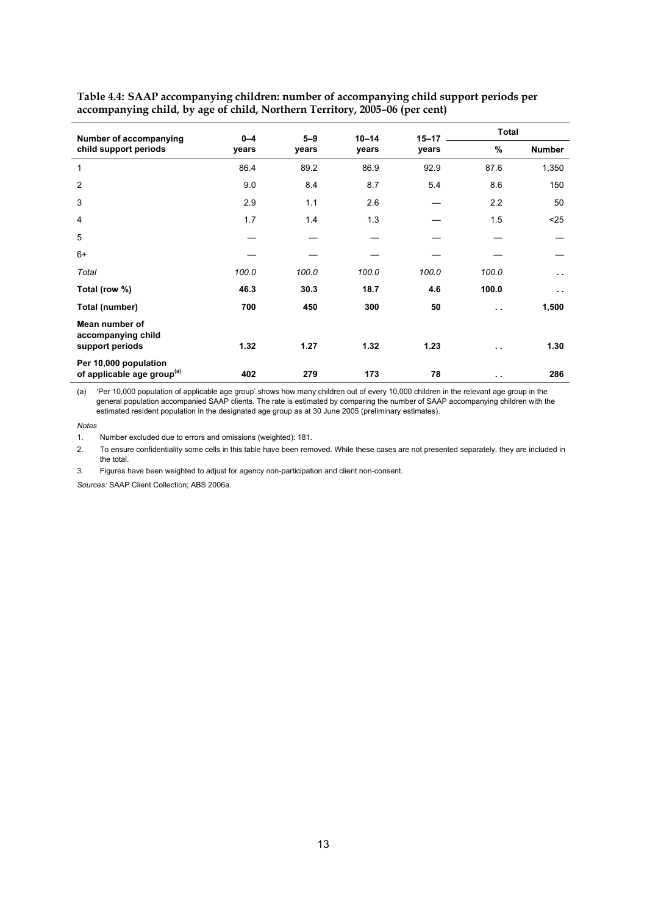| Number of accompanying                                          | $5 - 9$<br>$0 - 4$ |       | $10 - 14$ | $15 - 17$ | <b>Total</b>         |               |
|-----------------------------------------------------------------|--------------------|-------|-----------|-----------|----------------------|---------------|
| child support periods                                           | years              | years | years     | years     | $\%$                 | <b>Number</b> |
| 1                                                               | 86.4               | 89.2  | 86.9      | 92.9      | 87.6                 | 1,350         |
| $\overline{2}$                                                  | 9.0                | 8.4   | 8.7       | 5.4       | 8.6                  | 150           |
| 3                                                               | 2.9                | 1.1   | 2.6       |           | 2.2                  | 50            |
| 4                                                               | 1.7                | 1.4   | 1.3       |           | 1.5                  | $25$          |
| 5                                                               |                    |       |           |           |                      |               |
| $6+$                                                            |                    |       |           |           |                      |               |
| Total                                                           | 100.0              | 100.0 | 100.0     | 100.0     | 100.0                | . .           |
| Total (row %)                                                   | 46.3               | 30.3  | 18.7      | 4.6       | 100.0                | $\sim$ $\sim$ |
| Total (number)                                                  | 700                | 450   | 300       | 50        | $\sim$ $\sim$        | 1,500         |
| Mean number of<br>accompanying child<br>support periods         | 1.32               | 1.27  | 1.32      | 1.23      | $\ddot{\phantom{0}}$ | 1.30          |
| Per 10,000 population<br>of applicable age group <sup>(a)</sup> | 402                | 279   | 173       | 78        | $\sim$ $\sim$        | 286           |

**Table 4.4: SAAP accompanying children: number of accompanying child support periods per accompanying child, by age of child, Northern Territory, 2005–06 (per cent)** 

(a) 'Per 10,000 population of applicable age group' shows how many children out of every 10,000 children in the relevant age group in the general population accompanied SAAP clients. The rate is estimated by comparing the number of SAAP accompanying children with the estimated resident population in the designated age group as at 30 June 2005 (preliminary estimates).

*Notes* 

1. Number excluded due to errors and omissions (weighted): 181.

2. To ensure confidentiality some cells in this table have been removed. While these cases are not presented separately, they are included in the total.

3. Figures have been weighted to adjust for agency non-participation and client non-consent.

*Sources:* SAAP Client Collection; ABS 2006a.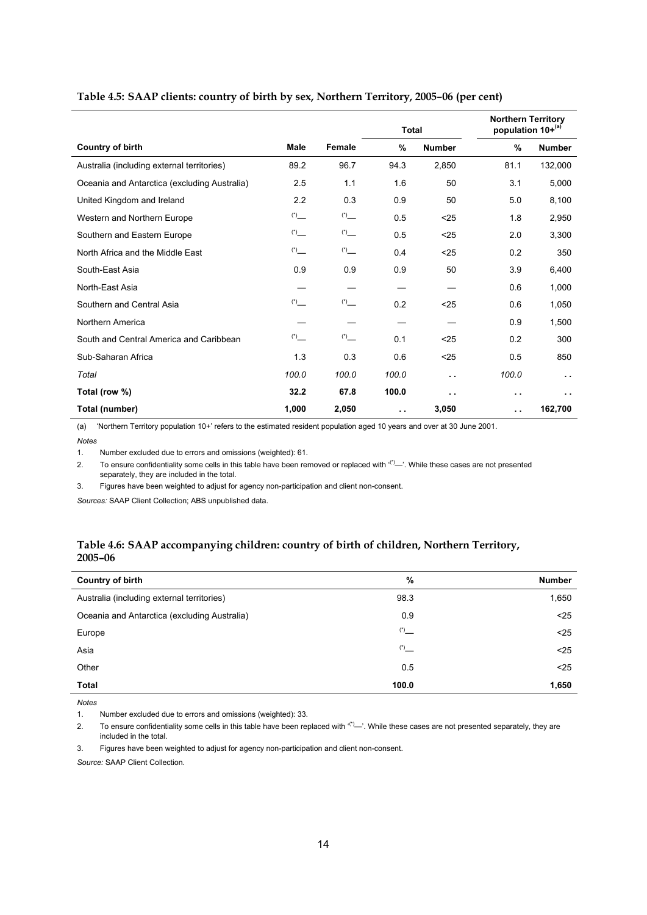|                                              |             |        | <b>Total</b> |                      | <b>Northern Territory</b><br>population 10+(a) |                      |
|----------------------------------------------|-------------|--------|--------------|----------------------|------------------------------------------------|----------------------|
| <b>Country of birth</b>                      | <b>Male</b> | Female | %            | <b>Number</b>        | %                                              | <b>Number</b>        |
| Australia (including external territories)   | 89.2        | 96.7   | 94.3         | 2,850                | 81.1                                           | 132,000              |
| Oceania and Antarctica (excluding Australia) | 2.5         | 1.1    | 1.6          | 50                   | 3.1                                            | 5,000                |
| United Kingdom and Ireland                   | 2.2         | 0.3    | 0.9          | 50                   | 5.0                                            | 8,100                |
| Western and Northern Europe                  |             |        | 0.5          | $25$                 | 1.8                                            | 2,950                |
| Southern and Eastern Europe                  |             | $(*)$  | 0.5          | $25$                 | 2.0                                            | 3,300                |
| North Africa and the Middle East             | $(*)$       | $(*)$  | 0.4          | $25$                 | 0.2                                            | 350                  |
| South-East Asia                              | 0.9         | 0.9    | 0.9          | 50                   | 3.9                                            | 6,400                |
| North-East Asia                              |             |        |              |                      | 0.6                                            | 1,000                |
| Southern and Central Asia                    | $(*)$       | $(*)$  | 0.2          | $25$                 | 0.6                                            | 1,050                |
| Northern America                             |             |        |              |                      | 0.9                                            | 1,500                |
| South and Central America and Caribbean      |             |        | 0.1          | $25$                 | 0.2                                            | 300                  |
| Sub-Saharan Africa                           | 1.3         | 0.3    | 0.6          | $25$                 | 0.5                                            | 850                  |
| Total                                        | 100.0       | 100.0  | 100.0        | $\ddot{\phantom{1}}$ | 100.0                                          | . .                  |
| Total (row %)                                | 32.2        | 67.8   | 100.0        | $\ddot{\phantom{1}}$ | $\sim$                                         | $\ddot{\phantom{1}}$ |
| Total (number)                               | 1,000       | 2,050  | $\sim$       | 3,050                | $\sim$ $\sim$                                  | 162,700              |

#### **Table 4.5: SAAP clients: country of birth by sex, Northern Territory, 2005–06 (per cent)**

(a) 'Northern Territory population 10+' refers to the estimated resident population aged 10 years and over at 30 June 2001.

*Notes* 

1. Number excluded due to errors and omissions (weighted): 61.

2. To ensure confidentiality some cells in this table have been removed or replaced with  $(')$ —'. While these cases are not presented separately, they are included in the total.

3. Figures have been weighted to adjust for agency non-participation and client non-consent.

*Sources:* SAAP Client Collection; ABS unpublished data.

#### **Table 4.6: SAAP accompanying children: country of birth of children, Northern Territory, 2005–06**

| Country of birth                             | %     | <b>Number</b> |
|----------------------------------------------|-------|---------------|
| Australia (including external territories)   | 98.3  | 1,650         |
| Oceania and Antarctica (excluding Australia) | 0.9   | $25$          |
| Europe                                       |       | $25$          |
| Asia                                         | $(*)$ | $25$          |
| Other                                        | 0.5   | $25$          |
| Total                                        | 100.0 | 1,650         |

*Notes* 

1. Number excluded due to errors and omissions (weighted): 33.

2. To ensure confidentiality some cells in this table have been replaced with  $(1)$ —'. While these cases are not presented separately, they are included in the total.

3. Figures have been weighted to adjust for agency non-participation and client non-consent.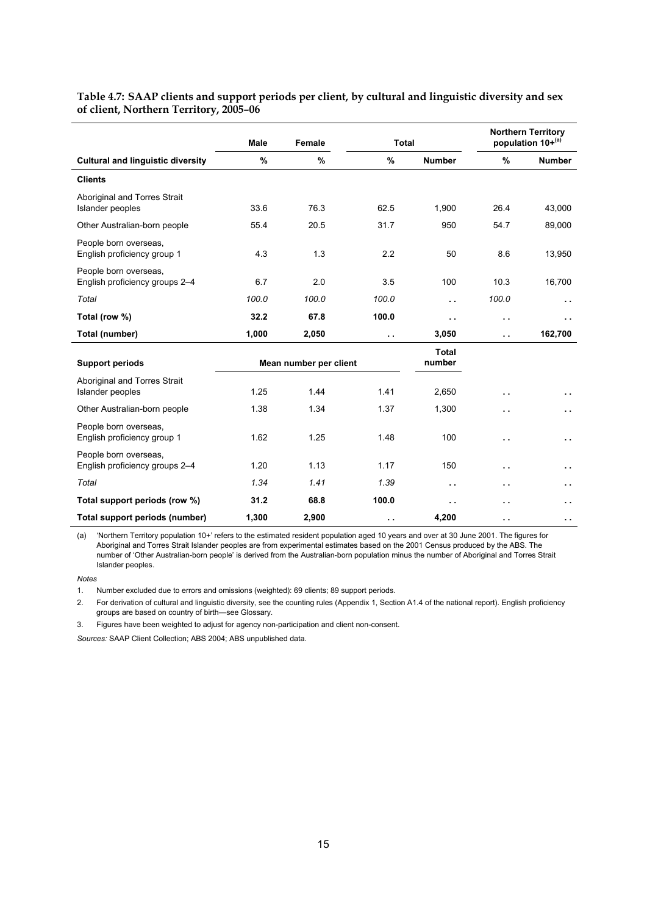|                                                         | <b>Male</b> | Female                 | <b>Total</b>         |                        |       | <b>Northern Territory</b><br>population 10+(a) |
|---------------------------------------------------------|-------------|------------------------|----------------------|------------------------|-------|------------------------------------------------|
| <b>Cultural and linguistic diversity</b>                | %           | %                      | %                    | <b>Number</b>          | $\%$  | <b>Number</b>                                  |
| <b>Clients</b>                                          |             |                        |                      |                        |       |                                                |
| Aboriginal and Torres Strait<br>Islander peoples        | 33.6        | 76.3                   | 62.5                 | 1,900                  | 26.4  | 43,000                                         |
| Other Australian-born people                            | 55.4        | 20.5                   | 31.7                 | 950                    | 54.7  | 89,000                                         |
| People born overseas,<br>English proficiency group 1    | 4.3         | 1.3                    | 2.2                  | 50                     | 8.6   | 13,950                                         |
| People born overseas.<br>English proficiency groups 2-4 | 6.7         | 2.0                    | 3.5                  | 100                    | 10.3  | 16,700                                         |
| Total                                                   | 100.0       | 100.0                  | 100.0                | . .                    | 100.0 | $\ddot{\phantom{1}}$                           |
| Total (row %)                                           | 32.2        | 67.8                   | 100.0                | Ω.                     | Ω.    | $\sim$ $\sim$                                  |
| Total (number)                                          | 1,000       | 2,050                  | $\ddot{\phantom{a}}$ | 3,050                  | .,    | 162,700                                        |
| <b>Support periods</b>                                  |             | Mean number per client |                      | <b>Total</b><br>number |       |                                                |
| Aboriginal and Torres Strait<br>Islander peoples        | 1.25        | 1.44                   | 1.41                 | 2,650                  | .,    | $\sim$                                         |
| Other Australian-born people                            | 1.38        | 1.34                   | 1.37                 | 1,300                  | Ω.    | $\sim$                                         |
| People born overseas,<br>English proficiency group 1    | 1.62        | 1.25                   | 1.48                 | 100                    | Ω.    | н.                                             |
| People born overseas.<br>English proficiency groups 2-4 | 1.20        | 1.13                   | 1.17                 | 150                    | Ω.    | $\ddot{\phantom{1}}$                           |
| Total                                                   | 1.34        | 1.41                   | 1.39                 | $\ddot{\phantom{a}}$   | . .   | $\ddot{\phantom{a}}$                           |
| Total support periods (row %)                           | 31.2        | 68.8                   | 100.0                | Ω.                     | . .   | $\ddot{\phantom{1}}$                           |
| Total support periods (number)                          | 1,300       | 2,900                  | $\sim$               | 4,200                  | Ω.    | $\sim$                                         |

#### **Table 4.7: SAAP clients and support periods per client, by cultural and linguistic diversity and sex of client, Northern Territory, 2005–06**

(a) 'Northern Territory population 10+' refers to the estimated resident population aged 10 years and over at 30 June 2001. The figures for Aboriginal and Torres Strait Islander peoples are from experimental estimates based on the 2001 Census produced by the ABS. The number of 'Other Australian-born people' is derived from the Australian-born population minus the number of Aboriginal and Torres Strait Islander peoples.

*Notes* 

1. Number excluded due to errors and omissions (weighted): 69 clients; 89 support periods.

2. For derivation of cultural and linguistic diversity, see the counting rules (Appendix 1, Section A1.4 of the national report). English proficiency groups are based on country of birth—see Glossary.

3. Figures have been weighted to adjust for agency non-participation and client non-consent.

*Sources:* SAAP Client Collection; ABS 2004; ABS unpublished data.